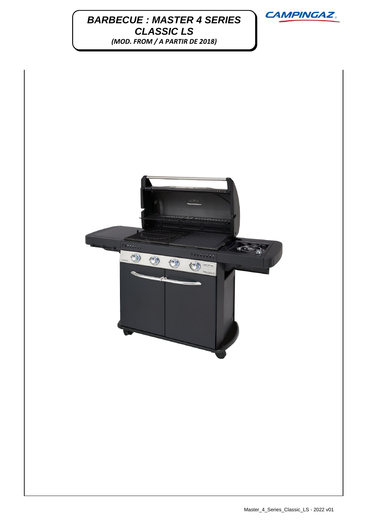## **BARBECUE : MASTER 4 SERIES**  $\overline{M}$ *CLASSIC LS (MOD. FROM / A PARTIR DE 2018)*



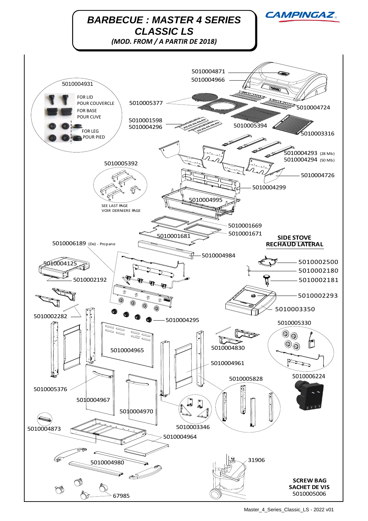

Master\_4\_Series\_Classic\_LS - 2022 v01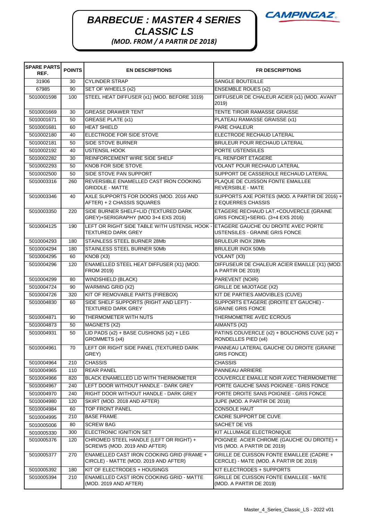## **BARBECUE : MASTER 4 SERIES** CAMPINGAZ. *CLASSIC LS*



*(MOD. FROM / A PARTIR DE 2018)*

| <b>SPARE PARTS</b><br>REF. | <b>POINTS</b> | <b>EN DESCRIPTIONS</b>                                                             | <b>FR DESCRIPTIONS</b>                                                              |
|----------------------------|---------------|------------------------------------------------------------------------------------|-------------------------------------------------------------------------------------|
| 31906                      | 30            | <b>CYLINDER STRAP</b>                                                              | SANGLE BOUTEILLE                                                                    |
| 67985                      | 90            | SET OF WHEELS (x2)                                                                 | <b>ENSEMBLE ROUES (x2)</b>                                                          |
| 5010001598                 | 100           | STEEL HEAT DIFFUSER (x1) (MOD. BEFORE 1019)                                        | DIFFUSEUR DE CHALEUR ACIER (x1) (MOD. AVANT<br>2019)                                |
| 5010001669                 | 30            | <b>GREASE DRAWER TENT</b>                                                          | TENTE TIROIR RAMASSE GRAISSE                                                        |
| 5010001671                 | 50            | <b>GREASE PLATE (x1)</b>                                                           | PLATEAU RAMASSE GRAISSE (x1)                                                        |
| 5010001681                 | 60            | <b>HEAT SHIELD</b>                                                                 | PARE CHALEUR                                                                        |
| 5010002180                 | 40            | ELECTRODE FOR SIDE STOVE                                                           | ELECTRODE RECHAUD LATERAL                                                           |
| 5010002181                 | 50            | <b>SIDE STOVE BURNER</b>                                                           | BRULEUR POUR RECHAUD LATERAL                                                        |
| 5010002192                 | 40            | <b>USTENSIL HOOK</b>                                                               | PORTE USTENSILES                                                                    |
| 5010002282                 | 30            | REINFORCEMENT WIRE SIDE SHELF                                                      | FIL RENFORT ETAGERE                                                                 |
| 5010002293                 | 50            | KNOB FOR SIDE STOVE                                                                | <b>VOLANT POUR RECHAUD LATERAL</b>                                                  |
| 5010002500                 | 50            | SIDE STOVE PAN SUPPORT                                                             | SUPPORT DE CASSEROLE RECHAUD LATERAL                                                |
| 5010003316                 | 260           | REVERSIBLE ENAMELLED CAST IRON COOKING<br><b>GRIDDLE - MATTE</b>                   | PLAQUE DE CUISSON FONTE EMAILLEE<br><b>REVERSIBLE - MATE</b>                        |
| 5010003346                 | 40            | AXLE SUPPORTS FOR DOORS (MOD. 2016 AND<br>AFTER) + 2 CHASSIS SQUARES               | SUPPORTS AXE PORTES (MOD. A PARTIR DE 2016) +<br>2 EQUERRES CHASSIS                 |
| 5010003350                 | 220           | SIDE BURNER SHELF+LID (TEXTURED DARK<br>GREY)+SERIGRAPHY (MOD 3+4 EXS 2016)        | ETAGERE RECHAUD LAT.+COUVERCLE (GRAINE<br>GRIS FONCE)+SERIG. (3+4 EXS 2016)         |
| 5010004125                 | 190           | LEFT OR RIGHT SIDE TABLE WITH USTENSIL HOOK -<br><b>TEXTURED DARK GREY</b>         | ETAGERE GAUCHE OU DROITE AVEC PORTE<br>USTENSILES - GRAINE GRIS FONCE               |
| 5010004293                 | 180           | STAINLESS STEEL BURNER 28Mb                                                        | <b>BRULEUR INOX 28Mb</b>                                                            |
| 5010004294                 | 180           | STAINLESS STEEL BURNER 50Mb                                                        | <b>BRULEUR INOX 50Mb</b>                                                            |
| 5010004295                 | 60            | KNOB (X3)                                                                          | VOLANT (X3)                                                                         |
| 5010004296                 | 120           | ENAMELLED STEEL HEAT DIFFUSER (X1) (MOD.<br>FROM 2019)                             | DIFFUSEUR DE CHALEUR ACIER EMAILLE (X1) (MOD.<br>A PARTIR DE 2019)                  |
| 5010004299                 | 80            | WINDSHIELD (BLACK)                                                                 | PAREVENT (NOIR)                                                                     |
| 5010004724                 | 90            | <b>WARMING GRID (X2)</b>                                                           | <b>GRILLE DE MIJOTAGE (X2)</b>                                                      |
| 5010004726                 | 320           | KIT OF REMOVABLE PARTS (FIREBOX)                                                   | KIT DE PARTIES AMOVIBLES (CUVE)                                                     |
| 5010004830                 | 60            | SIDE SHELF SUPPORTS (RIGHT AND LEFT) -<br><b>TEXTURED DARK GREY</b>                | SUPPORTS ETAGERE (DROITE ET GAUCHE) -<br><b>GRAINE GRIS FONCE</b>                   |
| 5010004871                 | 90            | THERMOMETER WITH NUTS                                                              | THERMOMETRE AVEC ECROUS                                                             |
| 5010004873                 | 50            | MAGNETS (X2)                                                                       | AIMANTS (X2)                                                                        |
| 5010004931                 | 50            | LID PADS (x2) + BASE CUSHIONS (x2) + LEG<br>GROMMETS (x4)                          | PATINS COUVERCLE (x2) + BOUCHONS CUVE (x2) +<br>RONDELLES PIED (x4)                 |
| 5010004961                 | 70            | LEFT OR RIGHT SIDE PANEL (TEXTURED DARK<br>GREY)                                   | PANNEAU LATERAL GAUCHE OU DROITE (GRAINE<br><b>GRIS FONCE)</b>                      |
| 5010004964                 | 210           | <b>CHASSIS</b>                                                                     | <b>CHASSIS</b>                                                                      |
| 5010004965                 | 110           | <b>REAR PANEL</b>                                                                  | PANNEAU ARRIERE                                                                     |
| 5010004966                 | 820           | BLACK ENAMELLED LID WITH THERMOMETER                                               | COUVERCLE EMAILLE NOIR AVEC THERMOMETRE                                             |
| 5010004967                 | 240           | LEFT DOOR WITHOUT HANDLE - DARK GREY                                               | PORTE GAUCHE SANS POIGNEE - GRIS FONCE                                              |
| 5010004970                 | 240           | RIGHT DOOR WITHOUT HANDLE - DARK GREY                                              | PORTE DROITE SANS POIGNEE - GRIS FONCE                                              |
| 5010004980                 | 120           | SKIRT (MOD. 2018 AND AFTER)                                                        | JUPE (MOD. A PARTIR DE 2018)                                                        |
| 5010004984                 | 60            | <b>TOP FRONT PANEL</b>                                                             | <b>CONSOLE HAUT</b>                                                                 |
| 5010004995                 | 210           | <b>BASE FRAME</b>                                                                  | CADRE SUPPORT DE CUVE                                                               |
| 5010005006                 | 80            | <b>SCREW BAG</b>                                                                   | SACHET DE VIS                                                                       |
| 5010005330                 | 300           | ELECTRONIC IGNITION SET                                                            | KIT ALLUMAGE ELECTRONIQUE                                                           |
| 5010005376                 | 120           | CHROMED STEEL HANDLE (LEFT OR RIGHT) +<br>SCREWS (MOD. 2019 AND AFTER)             | POIGNEE ACIER CHROME (GAUCHE OU DROITE) +<br>VIS (MOD. A PARTIR DE 2019)            |
| 5010005377                 | 270           | ENAMELLED CAST IRON COOKING GRID (FRAME +<br>CIRCLE) - MATTE (MOD. 2019 AND AFTER) | GRILLE DE CUISSON FONTE EMAILLEE (CADRE +<br>CERCLE) - MATE (MOD. A PARTIR DE 2019) |
| 5010005392                 | 180           | KIT OF ELECTRODES + HOUSINGS                                                       | KIT ELECTRODES + SUPPORTS                                                           |
| 5010005394                 | 210           | ENAMELLED CAST IRON COOKING GRID - MATTE<br>(MOD. 2019 AND AFTER)                  | GRILLE DE CUISSON FONTE EMAILLEE - MATE<br>(MOD. A PARTIR DE 2019)                  |